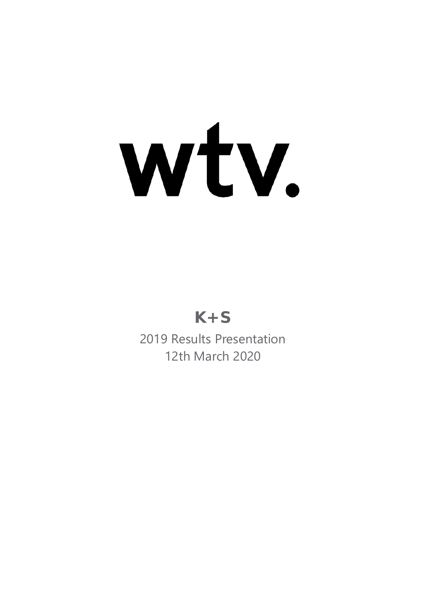# Wtv.

# **K+S**

2019 Results Presentation 12th March 2020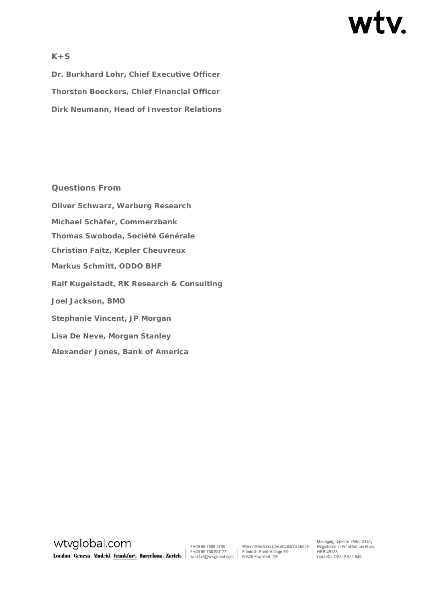# wtv.

# **K+S**

**Dr. Burkhard Lohr, Chief Executive Officer Thorsten Boeckers, Chief Financial Officer Dirk Neumann, Head of Investor Relations**

#### **Questions From**

**Oliver Schwarz, Warburg Research Michael Schäfer, Commerzbank Thomas Swoboda, Société Générale Christian Faitz, Kepler Cheuvreux Markus Schmitt, ODDO BHF Ralf Kugelstadt, RK Research & Consulting Joel Jackson, BMO Stephanie Vincent, JP Morgan Lisa De Neve, Morgan Stanley Alexander Jones, Bank of America**

wtvglobal.com WEVOIODAI.COM<br>
Undon. Geneva. Madrid. Frankfurt. Barcelona. Zurich. | 11 +49 69 750 85700 World Television (De<br>
London. Geneva. Madrid. Frankfurt. Barcelona. Zurich. | 11 +49 69 750 857 77 | Friedrich-Ebert-Anlag

World Television (Deutschland) GmbH<br>Friedrich-Ebert-Anlage 36

Managing Director: Peter Sibley Managing Director: Peter Sibley<br>Registered in Frankfurt am Main<br>HRB 48135 HRB 48135<br>
Ust-IdNr. DE812 931 649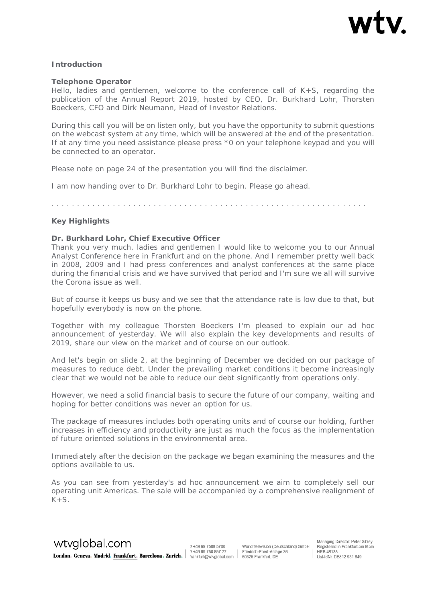

#### *Introduction*

#### **Telephone Operator**

Hello, ladies and gentlemen, welcome to the conference call of  $K+S$ , regarding the publication of the Annual Report 2019, hosted by CEO, Dr. Burkhard Lohr, Thorsten Boeckers, CFO and Dirk Neumann, Head of Investor Relations.

During this call you will be on listen only, but you have the opportunity to submit questions on the webcast system at any time, which will be answered at the end of the presentation. If at any time you need assistance please press \*0 on your telephone keypad and you will be connected to an operator.

Please note on page 24 of the presentation you will find the disclaimer.

I am now handing over to Dr. Burkhard Lohr to begin. Please go ahead.

. . . . . . . . . . . . . . . . . . . . . . . . . . . . . . . . . . . . . . . . . . . . . . . . . . . . . . . . . . . . . .

#### *Key Highlights*

#### **Dr. Burkhard Lohr, Chief Executive Officer**

Thank you very much, ladies and gentlemen I would like to welcome you to our Annual Analyst Conference here in Frankfurt and on the phone. And I remember pretty well back in 2008, 2009 and I had press conferences and analyst conferences at the same place during the financial crisis and we have survived that period and I'm sure we all will survive the Corona issue as well.

But of course it keeps us busy and we see that the attendance rate is low due to that, but hopefully everybody is now on the phone.

Together with my colleague Thorsten Boeckers I'm pleased to explain our ad hoc announcement of yesterday. We will also explain the key developments and results of 2019, share our view on the market and of course on our outlook.

And let's begin on slide 2, at the beginning of December we decided on our package of measures to reduce debt. Under the prevailing market conditions it become increasingly clear that we would not be able to reduce our debt significantly from operations only.

However, we need a solid financial basis to secure the future of our company, waiting and hoping for better conditions was never an option for us.

The package of measures includes both operating units and of course our holding, further increases in efficiency and productivity are just as much the focus as the implementation of future oriented solutions in the environmental area.

Immediately after the decision on the package we began examining the measures and the options available to us.

As you can see from yesterday's ad hoc announcement we aim to completely sell our operating unit Americas. The sale will be accompanied by a comprehensive realignment of  $K+S$ .

t/+49 69 7508 5700 1/ +49 69 750 857 77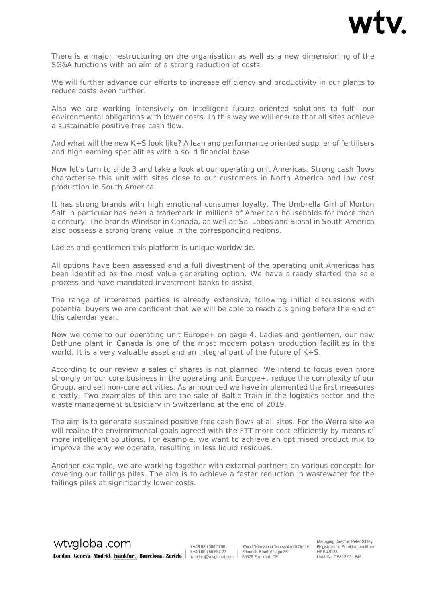

There is a major restructuring on the organisation as well as a new dimensioning of the SG&A functions with an aim of a strong reduction of costs.

We will further advance our efforts to increase efficiency and productivity in our plants to reduce costs even further.

Also we are working intensively on intelligent future oriented solutions to fulfil our environmental obligations with lower costs. In this way we will ensure that all sites achieve a sustainable positive free cash flow.

And what will the new K+S look like? A lean and performance oriented supplier of fertilisers and high earning specialities with a solid financial base.

Now let's turn to slide 3 and take a look at our operating unit Americas. Strong cash flows characterise this unit with sites close to our customers in North America and low cost production in South America.

It has strong brands with high emotional consumer loyalty. The Umbrella Girl of Morton Salt in particular has been a trademark in millions of American households for more than a century. The brands Windsor in Canada, as well as Sal Lobos and Biosal in South America also possess a strong brand value in the corresponding regions.

Ladies and gentlemen this platform is unique worldwide.

All options have been assessed and a full divestment of the operating unit Americas has been identified as the most value generating option. We have already started the sale process and have mandated investment banks to assist.

The range of interested parties is already extensive, following initial discussions with potential buyers we are confident that we will be able to reach a signing before the end of this calendar year.

Now we come to our operating unit Europe+ on page 4. Ladies and gentlemen, our new Bethune plant in Canada is one of the most modern potash production facilities in the world. It is a very valuable asset and an integral part of the future of K+S.

According to our review a sales of shares is not planned. We intend to focus even more strongly on our core business in the operating unit Europe+, reduce the complexity of our Group, and sell non-core activities. As announced we have implemented the first measures directly. Two examples of this are the sale of Baltic Train in the logistics sector and the waste management subsidiary in Switzerland at the end of 2019.

The aim is to generate sustained positive free cash flows at all sites. For the Werra site we will realise the environmental goals agreed with the FTT more cost efficiently by means of more intelligent solutions. For example, we want to achieve an optimised product mix to improve the way we operate, resulting in less liquid residues.

Another example, we are working together with external partners on various concepts for covering our tailings piles. The aim is to achieve a faster reduction in wastewater for the tailings piles at significantly lower costs.

wtvglobal.com t/+49 69 7508 5700 f/ +49 69 750 857 77 **London. Geneva. Madrid. Frankfurt. Barcelona. Zurich.**  $\left| \begin{array}{c} 1/1+49.69.750.857.77 \ \text{frankfurt@wtyglobal.com} \end{array} \right|$ 

World Television (Deutschland) GmbH Friedrich-Ebert-Anlage 36 60325 Frankfurt, DE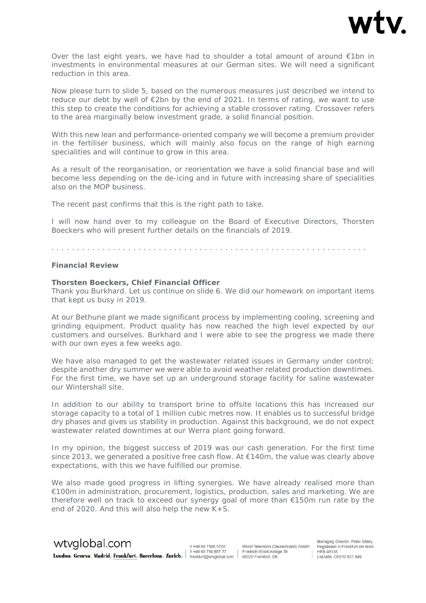

Over the last eight years, we have had to shoulder a total amount of around €1bn in investments in environmental measures at our German sites. We will need a significant reduction in this area.

Now please turn to slide 5, based on the numerous measures just described we intend to reduce our debt by well of €2bn by the end of 2021. In terms of rating, we want to use this step to create the conditions for achieving a stable crossover rating. Crossover refers to the area marginally below investment grade, a solid financial position.

With this new lean and performance-oriented company we will become a premium provider in the fertiliser business, which will mainly also focus on the range of high earning specialities and will continue to grow in this area.

As a result of the reorganisation, or reorientation we have a solid financial base and will become less depending on the de-icing and in future with increasing share of specialities also on the MOP business.

The recent past confirms that this is the right path to take.

I will now hand over to my colleague on the Board of Executive Directors, Thorsten Boeckers who will present further details on the financials of 2019.

. . . . . . . . . . . . . . . . . . . . . . . . . . . . . . . . . . . . . . . . . . . . . . . . . . . . . . . . . . . . . .

#### *Financial Review*

#### **Thorsten Boeckers, Chief Financial Officer**

Thank you Burkhard. Let us continue on slide 6. We did our homework on important items that kept us busy in 2019.

At our Bethune plant we made significant process by implementing cooling, screening and grinding equipment. Product quality has now reached the high level expected by our customers and ourselves. Burkhard and I were able to see the progress we made there with our own eyes a few weeks ago.

We have also managed to get the wastewater related issues in Germany under control; despite another dry summer we were able to avoid weather related production downtimes. For the first time, we have set up an underground storage facility for saline wastewater our Wintershall site.

In addition to our ability to transport brine to offsite locations this has increased our storage capacity to a total of 1 million cubic metres now. It enables us to successful bridge dry phases and gives us stability in production. Against this background, we do not expect wastewater related downtimes at our Werra plant going forward.

In my opinion, the biggest success of 2019 was our cash generation. For the first time since 2013, we generated a positive free cash flow. At  $\epsilon$ 140m, the value was clearly above expectations, with this we have fulfilled our promise.

We also made good progress in lifting synergies. We have already realised more than €100m in administration, procurement, logistics, production, sales and marketing. We are therefore well on track to exceed our synergy goal of more than €150m run rate by the end of 2020. And this will also help the new K+S.



t/+49 69 7508 5700 1/ +49 69 750 857 77 World Television (Deutschland) GmbH Friedrich-Ebert-Anlage 36

Managing Director: Peter Sibley Registered in Frankfurt am Main<br>HRB 48135 nd) GmbH Registered in Frankfurt an<br>| HRB 48135<br>| Ust-IdNr. DE812 931 649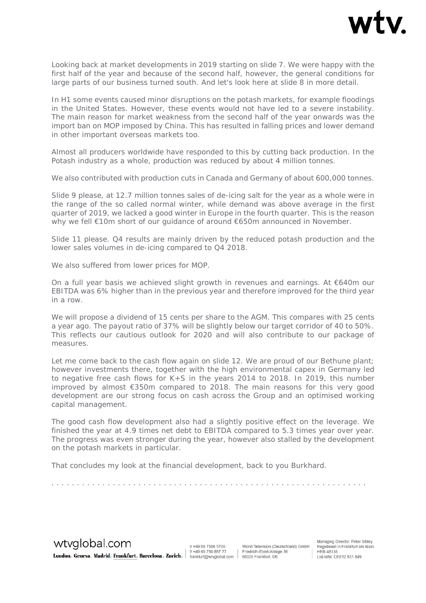

Looking back at market developments in 2019 starting on slide 7. We were happy with the first half of the year and because of the second half, however, the general conditions for large parts of our business turned south. And let's look here at slide 8 in more detail.

In H1 some events caused minor disruptions on the potash markets, for example floodings in the United States. However, these events would not have led to a severe instability. The main reason for market weakness from the second half of the year onwards was the import ban on MOP imposed by China. This has resulted in falling prices and lower demand in other important overseas markets too.

Almost all producers worldwide have responded to this by cutting back production. In the Potash industry as a whole, production was reduced by about 4 million tonnes.

We also contributed with production cuts in Canada and Germany of about 600,000 tonnes.

Slide 9 please, at 12.7 million tonnes sales of de-icing salt for the year as a whole were in the range of the so called normal winter, while demand was above average in the first quarter of 2019, we lacked a good winter in Europe in the fourth quarter. This is the reason why we fell €10m short of our guidance of around €650m announced in November.

Slide 11 please. Q4 results are mainly driven by the reduced potash production and the lower sales volumes in de-icing compared to Q4 2018.

We also suffered from lower prices for MOP.

On a full year basis we achieved slight growth in revenues and earnings. At €640m our EBITDA was 6% higher than in the previous year and therefore improved for the third year in a row.

We will propose a dividend of 15 cents per share to the AGM. This compares with 25 cents a year ago. The payout ratio of 37% will be slightly below our target corridor of 40 to 50%. This reflects our cautious outlook for 2020 and will also contribute to our package of measures.

Let me come back to the cash flow again on slide 12. We are proud of our Bethune plant; however investments there, together with the high environmental capex in Germany led to negative free cash flows for K+S in the years 2014 to 2018. In 2019, this number improved by almost €350m compared to 2018. The main reasons for this very good development are our strong focus on cash across the Group and an optimised working capital management.

The good cash flow development also had a slightly positive effect on the leverage. We finished the year at 4.9 times net debt to EBITDA compared to 5.3 times year over year. The progress was even stronger during the year, however also stalled by the development on the potash markets in particular.

. . . . . . . . . . . . . . . . . . . . . . . . . . . . . . . . . . . . . . . . . . . . . . . . . . . . . . . . . . . . . .

That concludes my look at the financial development, back to you Burkhard.

wtyglobal.com London. Geneva. Madrid. Frankfurt. Barcelona. Zurich. #49 69 750 857 77 Friedrich-Ebert-Anlas

t/+49 69 7508 5700 1/ +49 69 750 857 77 World Television (Deutschland) GmbH Friedrich-Ebert-Anlage 36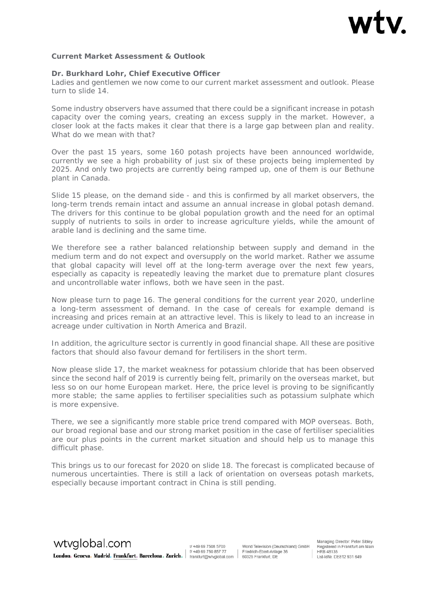

#### *Current Market Assessment & Outlook*

#### **Dr. Burkhard Lohr, Chief Executive Officer**

Ladies and gentlemen we now come to our current market assessment and outlook. Please turn to slide 14.

Some industry observers have assumed that there could be a significant increase in potash capacity over the coming years, creating an excess supply in the market. However, a closer look at the facts makes it clear that there is a large gap between plan and reality. What do we mean with that?

Over the past 15 years, some 160 potash projects have been announced worldwide, currently we see a high probability of just six of these projects being implemented by 2025. And only two projects are currently being ramped up, one of them is our Bethune plant in Canada.

Slide 15 please, on the demand side - and this is confirmed by all market observers, the long-term trends remain intact and assume an annual increase in global potash demand. The drivers for this continue to be global population growth and the need for an optimal supply of nutrients to soils in order to increase agriculture yields, while the amount of arable land is declining and the same time.

We therefore see a rather balanced relationship between supply and demand in the medium term and do not expect and oversupply on the world market. Rather we assume that global capacity will level off at the long-term average over the next few years, especially as capacity is repeatedly leaving the market due to premature plant closures and uncontrollable water inflows, both we have seen in the past.

Now please turn to page 16. The general conditions for the current year 2020, underline a long-term assessment of demand. In the case of cereals for example demand is increasing and prices remain at an attractive level. This is likely to lead to an increase in acreage under cultivation in North America and Brazil.

In addition, the agriculture sector is currently in good financial shape. All these are positive factors that should also favour demand for fertilisers in the short term.

Now please slide 17, the market weakness for potassium chloride that has been observed since the second half of 2019 is currently being felt, primarily on the overseas market, but less so on our home European market. Here, the price level is proving to be significantly more stable; the same applies to fertiliser specialities such as potassium sulphate which is more expensive.

There, we see a significantly more stable price trend compared with MOP overseas. Both, our broad regional base and our strong market position in the case of fertiliser specialities are our plus points in the current market situation and should help us to manage this difficult phase.

This brings us to our forecast for 2020 on slide 18. The forecast is complicated because of numerous uncertainties. There is still a lack of orientation on overseas potash markets, especially because important contract in China is still pending.

wtvglobal.com **London. Geneva. Madrid. Frankfurt. Barcelona. Zurich.**  $\begin{bmatrix} \n\theta & +49 & 69 & 750 & 857 & 77 \\
\text{frankf} & \text{frankf} & \text{fankf} & \text{fankf} & \text{fankf} \\
\end{bmatrix}$ 

t/+49 69 7508 5700 f/ +49 69 750 857 77

World Television (Deutschland) GmbH Friedrich-Ebert-Anlage 36 60325 Frankfurt, DE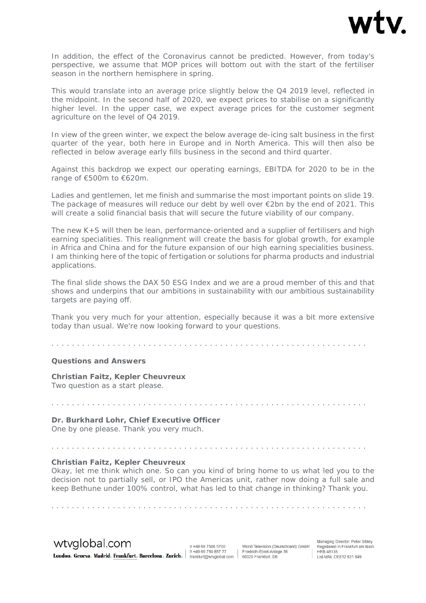

In addition, the effect of the Coronavirus cannot be predicted. However, from today's perspective, we assume that MOP prices will bottom out with the start of the fertiliser season in the northern hemisphere in spring.

This would translate into an average price slightly below the Q4 2019 level, reflected in the midpoint. In the second half of 2020, we expect prices to stabilise on a significantly higher level. In the upper case, we expect average prices for the customer segment agriculture on the level of Q4 2019.

In view of the green winter, we expect the below average de-icing salt business in the first quarter of the year, both here in Europe and in North America. This will then also be reflected in below average early fills business in the second and third quarter.

Against this backdrop we expect our operating earnings, EBITDA for 2020 to be in the range of €500m to €620m.

Ladies and gentlemen, let me finish and summarise the most important points on slide 19. The package of measures will reduce our debt by well over €2bn by the end of 2021. This will create a solid financial basis that will secure the future viability of our company.

The new K+S will then be lean, performance-oriented and a supplier of fertilisers and high earning specialities. This realignment will create the basis for global growth, for example in Africa and China and for the future expansion of our high earning specialities business. I am thinking here of the topic of fertigation or solutions for pharma products and industrial applications.

The final slide shows the DAX 50 ESG Index and we are a proud member of this and that shows and underpins that our ambitions in sustainability with our ambitious sustainability targets are paying off.

Thank you very much for your attention, especially because it was a bit more extensive today than usual. We're now looking forward to your questions.

. . . . . . . . . . . . . . . . . . . . . . . . . . . . . . . . . . . . . . . . . . . . . . . . . . . . . . . . . . . . . .

. . . . . . . . . . . . . . . . . . . . . . . . . . . . . . . . . . . . . . . . . . . . . . . . . . . . . . . . . . . . . .

. . . . . . . . . . . . . . . . . . . . . . . . . . . . . . . . . . . . . . . . . . . . . . . . . . . . . . . . . . . . . .

#### *Questions and Answers*

**Christian Faitz, Kepler Cheuvreux** Two question as a start please.

#### **Dr. Burkhard Lohr, Chief Executive Officer**

One by one please. Thank you very much.

#### **Christian Faitz, Kepler Cheuvreux**

Okay, let me think which one. So can you kind of bring home to us what led you to the decision not to partially sell, or IPO the Americas unit, rather now doing a full sale and keep Bethune under 100% control, what has led to that change in thinking? Thank you.

wtyglobal.com

t/+49 69 7508 5700 1/ +49 69 750 857 77

. . . . . . . . . . . . . . . . . . . . . . . . . . . . . . . . . . . . . . . . . . . . . . . . . . . . . . . . . . . . . .

World Television (Deutschland) GmbH London. Geneva. Madrid. Frankfurt. Barcelona. Zurich. #198975085777 | Friedrich-Ebert-Anlas Friedrich-Ebert-Anlage 36

Managing Director: Peter Sibley Registered in Frankfurt am Main<br>HRB 48135 nd) GmbH Registered in Frankfurt an<br>| HRB 48135<br>| Ust-IdNr. DE812 931 649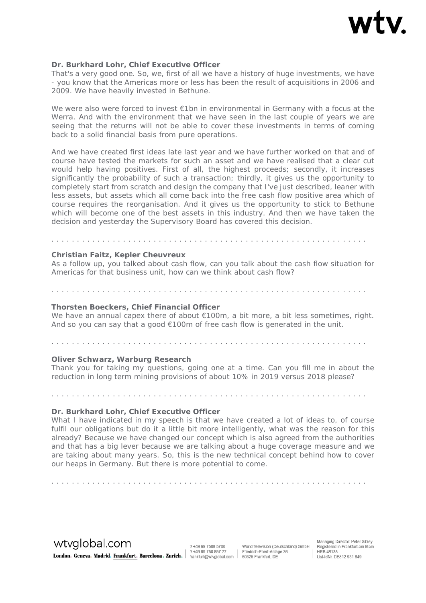

#### **Dr. Burkhard Lohr, Chief Executive Officer**

That's a very good one. So, we, first of all we have a history of huge investments, we have - you know that the Americas more or less has been the result of acquisitions in 2006 and 2009. We have heavily invested in Bethune.

We were also were forced to invest €1bn in environmental in Germany with a focus at the Werra. And with the environment that we have seen in the last couple of years we are seeing that the returns will not be able to cover these investments in terms of coming back to a solid financial basis from pure operations.

And we have created first ideas late last year and we have further worked on that and of course have tested the markets for such an asset and we have realised that a clear cut would help having positives. First of all, the highest proceeds; secondly, it increases significantly the probability of such a transaction; thirdly, it gives us the opportunity to completely start from scratch and design the company that I've just described, leaner with less assets, but assets which all come back into the free cash flow positive area which of course requires the reorganisation. And it gives us the opportunity to stick to Bethune which will become one of the best assets in this industry. And then we have taken the decision and yesterday the Supervisory Board has covered this decision.

#### **Christian Faitz, Kepler Cheuvreux**

As a follow up, you talked about cash flow, can you talk about the cash flow situation for Americas for that business unit, how can we think about cash flow?

. . . . . . . . . . . . . . . . . . . . . . . . . . . . . . . . . . . . . . . . . . . . . . . . . . . . . . . . . . . . . .

#### . . . . . . . . . . . . . . . . . . . . . . . . . . . . . . . . . . . . . . . . . . . . . . . . . . . . . . . . . . . . . .

#### **Thorsten Boeckers, Chief Financial Officer**

We have an annual capex there of about  $\epsilon$ 100m, a bit more, a bit less sometimes, right. And so you can say that a good  $€100m$  of free cash flow is generated in the unit.

#### **Oliver Schwarz, Warburg Research**

Thank you for taking my questions, going one at a time. Can you fill me in about the reduction in long term mining provisions of about 10% in 2019 versus 2018 please?

. . . . . . . . . . . . . . . . . . . . . . . . . . . . . . . . . . . . . . . . . . . . . . . . . . . . . . . . . . . . . .

#### **Dr. Burkhard Lohr, Chief Executive Officer**

What I have indicated in my speech is that we have created a lot of ideas to, of course fulfil our obligations but do it a little bit more intelligently, what was the reason for this already? Because we have changed our concept which is also agreed from the authorities and that has a big lever because we are talking about a huge coverage measure and we are taking about many years. So, this is the new technical concept behind how to cover our heaps in Germany. But there is more potential to come.

. . . . . . . . . . . . . . . . . . . . . . . . . . . . . . . . . . . . . . . . . . . . . . . . . . . . . . . . . . . . . .

wtvglobal.com Example of the Community of the Section of the Section of the Section Community of the Section Condon. Geneva. Madrid. Frankfurt. Barcelona. Zurich.  $\begin{bmatrix} 0 & 49 & 69 & 750 & 857 & 77 \\ 6 & 49 & 69 & 750 & 857 & 77 \\ \text{frankfunkung/wyglobal.com} & 6$ 

t/+49 69 7508 5700

World Television (Deutschland) GmbH Friedrich-Ebert-Anlage 36

. . . . . . . . . . . . . . . . . . . . . . . . . . . . . . . . . . . . . . . . . . . . . . . . . . . . . . . . . . . . . .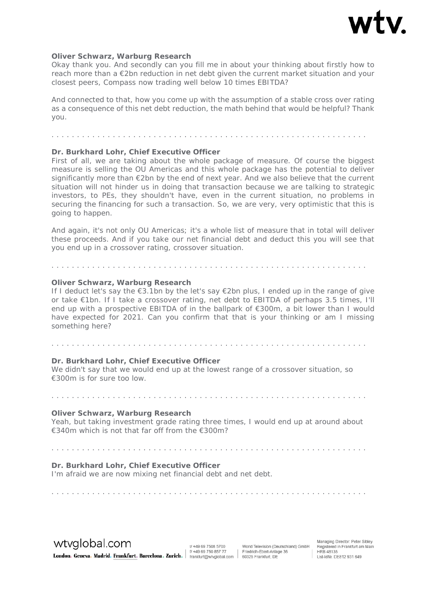

#### **Oliver Schwarz, Warburg Research**

Okay thank you. And secondly can you fill me in about your thinking about firstly how to reach more than a €2bn reduction in net debt given the current market situation and your closest peers, Compass now trading well below 10 times EBITDA?

And connected to that, how you come up with the assumption of a stable cross over rating as a consequence of this net debt reduction, the math behind that would be helpful? Thank you.

#### **Dr. Burkhard Lohr, Chief Executive Officer**

First of all, we are taking about the whole package of measure. Of course the biggest measure is selling the OU Americas and this whole package has the potential to deliver significantly more than  $\epsilon$ 2bn by the end of next year. And we also believe that the current situation will not hinder us in doing that transaction because we are talking to strategic investors, to PEs, they shouldn't have, even in the current situation, no problems in securing the financing for such a transaction. So, we are very, very optimistic that this is going to happen.

And again, it's not only OU Americas; it's a whole list of measure that in total will deliver these proceeds. And if you take our net financial debt and deduct this you will see that you end up in a crossover rating, crossover situation.

#### **Oliver Schwarz, Warburg Research**

If I deduct let's say the  $\epsilon$ 3.1bn by the let's say  $\epsilon$ 2bn plus, I ended up in the range of give or take €1bn. If I take a crossover rating, net debt to EBITDA of perhaps 3.5 times, I'll end up with a prospective EBITDA of in the ballpark of  $\epsilon$ 300m, a bit lower than I would have expected for 2021. Can you confirm that that is your thinking or am I missing something here?

#### **Dr. Burkhard Lohr, Chief Executive Officer**

We didn't say that we would end up at the lowest range of a crossover situation, so €300m is for sure too low.

#### **Oliver Schwarz, Warburg Research**

Yeah, but taking investment grade rating three times, I would end up at around about €340m which is not that far off from the €300m?

. . . . . . . . . . . . . . . . . . . . . . . . . . . . . . . . . . . . . . . . . . . . . . . . . . . . . . . . . . . . . .

. . . . . . . . . . . . . . . . . . . . . . . . . . . . . . . . . . . . . . . . . . . . . . . . . . . . . . . . . . . . . .

#### **Dr. Burkhard Lohr, Chief Executive Officer**

I'm afraid we are now mixing net financial debt and net debt.

. . . . . . . . . . . . . . . . . . . . . . . . . . . . . . . . . . . . . . . . . . . . . . . . . . . . . . . . . . . . . .

wtvglobal.com

t/+49 69 7508 5700 1/ +49 69 750 857 77 **London. Geneva. Madrid.** Frankfurt. Barcelona. Zurich. | #49 69 750 857 77 | Friedrich-Ebert-Anlas

World Television (Deutschland) GmbH Friedrich-Ebert-Anlage 36

. . . . . . . . . . . . . . . . . . . . . . . . . . . . . . . . . . . . . . . . . . . . . . . . . . . . . . . . . . . . . .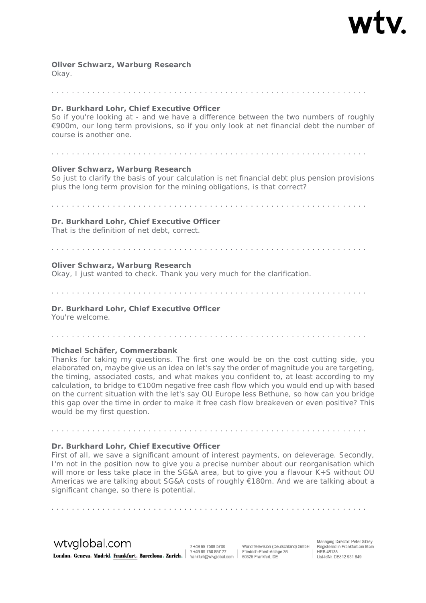# **Oliver Schwarz, Warburg Research**

Okay.

#### . . . . . . . . . . . . . . . . . . . . . . . . . . . . . . . . . . . . . . . . . . . . . . . . . . . . . . . . . . . . . .

#### **Dr. Burkhard Lohr, Chief Executive Officer**

So if you're looking at - and we have a difference between the two numbers of roughly €900m, our long term provisions, so if you only look at net financial debt the number of course is another one.

. . . . . . . . . . . . . . . . . . . . . . . . . . . . . . . . . . . . . . . . . . . . . . . . . . . . . . . . . . . . . .

# **Oliver Schwarz, Warburg Research**

So just to clarify the basis of your calculation is net financial debt plus pension provisions plus the long term provision for the mining obligations, is that correct?

**Dr. Burkhard Lohr, Chief Executive Officer**  That is the definition of net debt, correct.

. . . . . . . . . . . . . . . . . . . . . . . . . . . . . . . . . . . . . . . . . . . . . . . . . . . . . . . . . . . . . .

#### . . . . . . . . . . . . . . . . . . . . . . . . . . . . . . . . . . . . . . . . . . . . . . . . . . . . . . . . . . . . . .

#### **Oliver Schwarz, Warburg Research**

Okay, I just wanted to check. Thank you very much for the clarification.

. . . . . . . . . . . . . . . . . . . . . . . . . . . . . . . . . . . . . . . . . . . . . . . . . . . . . . . . . . . . . .

**Dr. Burkhard Lohr, Chief Executive Officer** 

You're welcome.

. . . . . . . . . . . . . . . . . . . . . . . . . . . . . . . . . . . . . . . . . . . . . . . . . . . . . . . . . . . . . .

#### **Michael Schäfer, Commerzbank**

Thanks for taking my questions. The first one would be on the cost cutting side, you elaborated on, maybe give us an idea on let's say the order of magnitude you are targeting, the timing, associated costs, and what makes you confident to, at least according to my calculation, to bridge to €100m negative free cash flow which you would end up with based on the current situation with the let's say OU Europe less Bethune, so how can you bridge this gap over the time in order to make it free cash flow breakeven or even positive? This would be my first question.

#### **Dr. Burkhard Lohr, Chief Executive Officer**

First of all, we save a significant amount of interest payments, on deleverage. Secondly, I'm not in the position now to give you a precise number about our reorganisation which will more or less take place in the SG&A area, but to give you a flavour K+S without OU Americas we are talking about SG&A costs of roughly €180m. And we are talking about a significant change, so there is potential.

. . . . . . . . . . . . . . . . . . . . . . . . . . . . . . . . . . . . . . . . . . . . . . . . . . . . . . . . . . . . . .

wtyglobal.com

t/+49 69 7508 5700 Example of the Community of the Community of the State of the State of the State of the State of the Community of the State of the Community of the State of the State of the State of the State of the State of the State of

World Television (Deutschland) GmbH Friedrich-Ebert-Anlage 36

. . . . . . . . . . . . . . . . . . . . . . . . . . . . . . . . . . . . . . . . . . . . . . . . . . . . . . . . . . . . . .

Managing Director: Peter Sibley Registered in Frankfurt am Main<br>HRB 48135 nd) GmbH Registered in Frankfurt ar<br>HRB 48135<br>Ust-IdNr. DE812 931 649<br>Ust-IdNr. DE812 931 649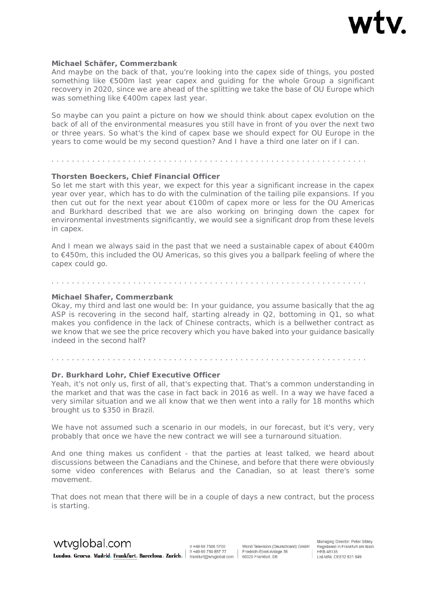

#### **Michael Schäfer, Commerzbank**

And maybe on the back of that, you're looking into the capex side of things, you posted something like €500m last year capex and guiding for the whole Group a significant recovery in 2020, since we are ahead of the splitting we take the base of OU Europe which was something like €400m capex last year.

So maybe can you paint a picture on how we should think about capex evolution on the back of all of the environmental measures you still have in front of you over the next two or three years. So what's the kind of capex base we should expect for OU Europe in the years to come would be my second question? And I have a third one later on if I can.

. . . . . . . . . . . . . . . . . . . . . . . . . . . . . . . . . . . . . . . . . . . . . . . . . . . . . . . . . . . . . .

#### **Thorsten Boeckers, Chief Financial Officer**

So let me start with this year, we expect for this year a significant increase in the capex year over year, which has to do with the culmination of the tailing pile expansions. If you then cut out for the next year about €100m of capex more or less for the OU Americas and Burkhard described that we are also working on bringing down the capex for environmental investments significantly, we would see a significant drop from these levels in capex.

And I mean we always said in the past that we need a sustainable capex of about €400m to €450m, this included the OU Americas, so this gives you a ballpark feeling of where the capex could go.

#### **Michael Shafer, Commerzbank**

Okay, my third and last one would be: In your guidance, you assume basically that the ag ASP is recovering in the second half, starting already in Q2, bottoming in Q1, so what makes you confidence in the lack of Chinese contracts, which is a bellwether contract as we know that we see the price recovery which you have baked into your guidance basically indeed in the second half?

# . . . . . . . . . . . . . . . . . . . . . . . . . . . . . . . . . . . . . . . . . . . . . . . . . . . . . . . . . . . . . .

. . . . . . . . . . . . . . . . . . . . . . . . . . . . . . . . . . . . . . . . . . . . . . . . . . . . . . . . . . . . . .

#### **Dr. Burkhard Lohr, Chief Executive Officer**

Yeah, it's not only us, first of all, that's expecting that. That's a common understanding in the market and that was the case in fact back in 2016 as well. In a way we have faced a very similar situation and we all know that we then went into a rally for 18 months which brought us to \$350 in Brazil.

We have not assumed such a scenario in our models, in our forecast, but it's very, very probably that once we have the new contract we will see a turnaround situation.

And one thing makes us confident - that the parties at least talked, we heard about discussions between the Canadians and the Chinese, and before that there were obviously some video conferences with Belarus and the Canadian, so at least there's some movement.

That does not mean that there will be in a couple of days a new contract, but the process is starting.

wtyglobal.com

t/+49 69 7508 5700 f/ +49 69 750 857 77 London. Geneva. Madrid. Frankfurt. Barcelona. Zurich. |  $\left| \begin{array}{cc} 496975085777 & | \text{ Friedrich-Ebert-AnIs} \\ \text{frankfurt.} & \text{farrelona. Zurich.} \end{array} \right|$ 

World Television (Deutschland) GmbH Friedrich-Ebert-Anlage 36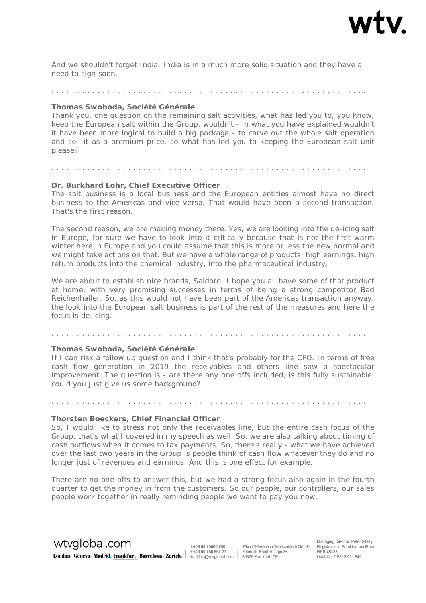

And we shouldn't forget India, India is in a much more solid situation and they have a need to sign soon.

. . . . . . . . . . . . . . . . . . . . . . . . . . . . . . . . . . . . . . . . . . . . . . . . . . . . . . . . . . . . . .

#### **Thomas Swoboda, Société Générale**

Thank you, one question on the remaining salt activities, what has led you to, you know, keep the European salt within the Group, wouldn't - in what you have explained wouldn't it have been more logical to build a big package - to carve out the whole salt operation and sell it as a premium price, so what has led you to keeping the European salt unit please?

# . . . . . . . . . . . . . . . . . . . . . . . . . . . . . . . . . . . . . . . . . . . . . . . . . . . . . . . . . . . . . . **Dr. Burkhard Lohr, Chief Executive Officer**

The salt business is a local business and the European entities almost have no direct business to the Americas and vice versa. That would have been a second transaction. That's the first reason.

The second reason, we are making money there. Yes, we are looking into the de-icing salt in Europe, for sure we have to look into it critically because that is not the first warm winter here in Europe and you could assume that this is more or less the new normal and we might take actions on that. But we have a whole range of products, high earnings, high return products into the chemical industry, into the pharmaceutical industry.

We are about to establish nice brands, Saldoro, I hope you all have some of that product at home, with very promising successes in terms of being a strong competitor Bad Reichenhaller. So, as this would not have been part of the Americas transaction anyway, the look into the European salt business is part of the rest of the measures and here the focus is de-icing.

. . . . . . . . . . . . . . . . . . . . . . . . . . . . . . . . . . . . . . . . . . . . . . . . . . . . . . . . . . . . . .

#### **Thomas Swoboda, Société Générale**

If I can risk a follow up question and I think that's probably for the CFO. In terms of free cash flow generation in 2019 the receivables and others line saw a spectacular improvement. The question is - are there any one offs included, is this fully sustainable, could you just give us some background?

. . . . . . . . . . . . . . . . . . . . . . . . . . . . . . . . . . . . . . . . . . . . . . . . . . . . . . . . . . . . . .

#### **Thorsten Boeckers, Chief Financial Officer**

So, I would like to stress not only the receivables line, but the entire cash focus of the Group, that's what I covered in my speech as well. So, we are also talking about timing of cash outflows when it comes to tax payments. So, there's really - what we have achieved over the last two years in the Group is people think of cash flow whatever they do and no longer just of revenues and earnings. And this is one effect for example.

There are no one offs to answer this, but we had a strong focus also again in the fourth quarter to get the money in from the customers. So our people, our controllers, our sales people work together in really reminding people we want to pay you now.

wtyglobal.com London. Geneva. Madrid. Frankfurt. Barcelona. Zurich. #198975085777 | Friedrich-Ebert-Anlas

t/+49 69 7508 5700 1/ +49 69 750 857 77 World Television (Deutschland) GmbH Friedrich-Ebert-Anlage 36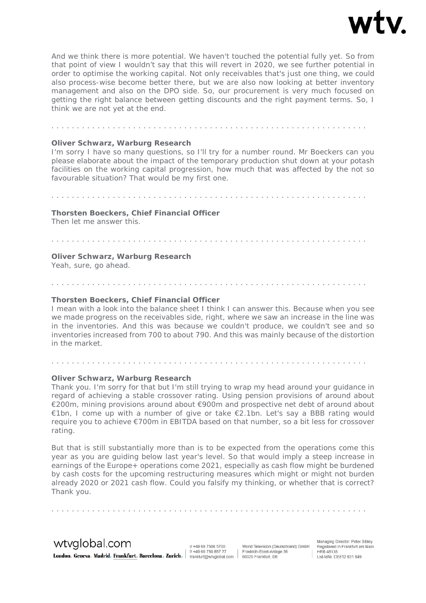

And we think there is more potential. We haven't touched the potential fully yet. So from that point of view I wouldn't say that this will revert in 2020, we see further potential in order to optimise the working capital. Not only receivables that's just one thing, we could also process-wise become better there, but we are also now looking at better inventory management and also on the DPO side. So, our procurement is very much focused on getting the right balance between getting discounts and the right payment terms. So, I think we are not yet at the end.

# **Oliver Schwarz, Warburg Research**

I'm sorry I have so many questions, so I'll try for a number round. Mr Boeckers can you please elaborate about the impact of the temporary production shut down at your potash facilities on the working capital progression, how much that was affected by the not so favourable situation? That would be my first one.

. . . . . . . . . . . . . . . . . . . . . . . . . . . . . . . . . . . . . . . . . . . . . . . . . . . . . . . . . . . . . .

. . . . . . . . . . . . . . . . . . . . . . . . . . . . . . . . . . . . . . . . . . . . . . . . . . . . . . . . . . . . . .

# **Thorsten Boeckers, Chief Financial Officer**

Then let me answer this.

. . . . . . . . . . . . . . . . . . . . . . . . . . . . . . . . . . . . . . . . . . . . . . . . . . . . . . . . . . . . . .

. . . . . . . . . . . . . . . . . . . . . . . . . . . . . . . . . . . . . . . . . . . . . . . . . . . . . . . . . . . . . .

#### **Oliver Schwarz, Warburg Research**

Yeah, sure, go ahead.

#### **Thorsten Boeckers, Chief Financial Officer**

I mean with a look into the balance sheet I think I can answer this. Because when you see we made progress on the receivables side, right, where we saw an increase in the line was in the inventories. And this was because we couldn't produce, we couldn't see and so inventories increased from 700 to about 790. And this was mainly because of the distortion in the market.

#### **Oliver Schwarz, Warburg Research**

. . . . . . . . . . . . . . . . . . . . . . . . . . . . . . . . . . . . . . . . . . . . . . . . . . . . . . . . . . . . . .

Thank you. I'm sorry for that but I'm still trying to wrap my head around your guidance in regard of achieving a stable crossover rating. Using pension provisions of around about €200m, mining provisions around about €900m and prospective net debt of around about €1bn, I come up with a number of give or take €2.1bn. Let's say a BBB rating would require you to achieve €700m in EBITDA based on that number, so a bit less for crossover rating.

But that is still substantially more than is to be expected from the operations come this year as you are guiding below last year's level. So that would imply a steep increase in earnings of the Europe+ operations come 2021, especially as cash flow might be burdened by cash costs for the upcoming restructuring measures which might or might not burden already 2020 or 2021 cash flow. Could you falsify my thinking, or whether that is correct? Thank you.

wtyglobal.com

t/+49 69 7508 5700 London. Geneva. Madrid. Frankfurt. Barcelona. Zurich. | #49 69 750 857 77 | Friedrich-Ebert-Anla<br>| frankfurt. Barcelona. Zurich. | #49 69 750 857 77 | Friedrich-Ebert-Anla 1/ +49 69 750 857 77

. . . . . . . . . . . . . . . . . . . . . . . . . . . . . . . . . . . . . . . . . . . . . . . . . . . . . . . . . . . . . .

World Television (Deutschland) GmbH Friedrich-Ebert-Anlage 36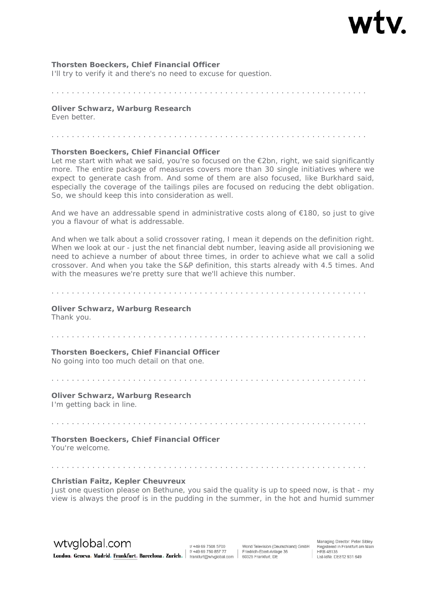#### **Thorsten Boeckers, Chief Financial Officer**

I'll try to verify it and there's no need to excuse for question.

. . . . . . . . . . . . . . . . . . . . . . . . . . . . . . . . . . . . . . . . . . . . . . . . . . . . . . . . . . . . . .

**Oliver Schwarz, Warburg Research**  Even better.

. . . . . . . . . . . . . . . . . . . . . . . . . . . . . . . . . . . . . . . . . . . . . . . . . . . . . . . . . . . . . .

#### **Thorsten Boeckers, Chief Financial Officer**

Let me start with what we said, you're so focused on the €2bn, right, we said significantly more. The entire package of measures covers more than 30 single initiatives where we expect to generate cash from. And some of them are also focused, like Burkhard said, especially the coverage of the tailings piles are focused on reducing the debt obligation. So, we should keep this into consideration as well.

And we have an addressable spend in administrative costs along of  $\epsilon$ 180, so just to give you a flavour of what is addressable.

And when we talk about a solid crossover rating, I mean it depends on the definition right. When we look at our - just the net financial debt number, leaving aside all provisioning we need to achieve a number of about three times, in order to achieve what we call a solid crossover. And when you take the S&P definition, this starts already with 4.5 times. And with the measures we're pretty sure that we'll achieve this number.

. . . . . . . . . . . . . . . . . . . . . . . . . . . . . . . . . . . . . . . . . . . . . . . . . . . . . . . . . . . . . .

#### **Oliver Schwarz, Warburg Research**  Thank you.

. . . . . . . . . . . . . . . . . . . . . . . . . . . . . . . . . . . . . . . . . . . . . . . . . . . . . . . . . . . . . .

**Thorsten Boeckers, Chief Financial Officer** 

No going into too much detail on that one.

. . . . . . . . . . . . . . . . . . . . . . . . . . . . . . . . . . . . . . . . . . . . . . . . . . . . . . . . . . . . . .

. . . . . . . . . . . . . . . . . . . . . . . . . . . . . . . . . . . . . . . . . . . . . . . . . . . . . . . . . . . . . .

**Oliver Schwarz, Warburg Research**  I'm getting back in line.

**Thorsten Boeckers, Chief Financial Officer** 

You're welcome.

#### **Christian Faitz, Kepler Cheuvreux**

Just one question please on Bethune, you said the quality is up to speed now, is that - my view is always the proof is in the pudding in the summer, in the hot and humid summer

wtvglobal.com

t/+49 69 7508 5700 1/ +49 69 750 857 77 London. Geneva. Madrid. Frankfurt. Barcelona. Zurich. | #49 69 750 857 77 | Friedrich-Ebert-Anlas

World Television (Deutschland) GmbH Friedrich-Ebert-Anlage 36

. . . . . . . . . . . . . . . . . . . . . . . . . . . . . . . . . . . . . . . . . . . . . . . . . . . . . . . . . . . . . .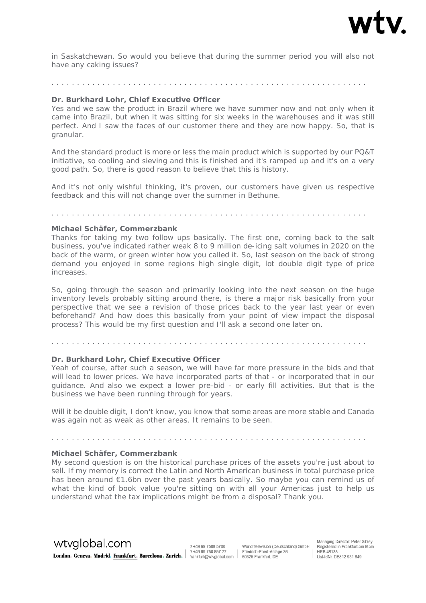

in Saskatchewan. So would you believe that during the summer period you will also not have any caking issues?

#### . . . . . . . . . . . . . . . . . . . . . . . . . . . . . . . . . . . . . . . . . . . . . . . . . . . . . . . . . . . . . .

#### **Dr. Burkhard Lohr, Chief Executive Officer**

Yes and we saw the product in Brazil where we have summer now and not only when it came into Brazil, but when it was sitting for six weeks in the warehouses and it was still perfect. And I saw the faces of our customer there and they are now happy. So, that is granular.

And the standard product is more or less the main product which is supported by our PQ&T initiative, so cooling and sieving and this is finished and it's ramped up and it's on a very good path. So, there is good reason to believe that this is history.

And it's not only wishful thinking, it's proven, our customers have given us respective feedback and this will not change over the summer in Bethune.

. . . . . . . . . . . . . . . . . . . . . . . . . . . . . . . . . . . . . . . . . . . . . . . . . . . . . . . . . . . . . .

#### **Michael Schäfer, Commerzbank**

Thanks for taking my two follow ups basically. The first one, coming back to the salt business, you've indicated rather weak 8 to 9 million de-icing salt volumes in 2020 on the back of the warm, or green winter how you called it. So, last season on the back of strong demand you enjoyed in some regions high single digit, lot double digit type of price increases.

So, going through the season and primarily looking into the next season on the huge inventory levels probably sitting around there, is there a major risk basically from your perspective that we see a revision of those prices back to the year last year or even beforehand? And how does this basically from your point of view impact the disposal process? This would be my first question and I'll ask a second one later on.

#### . . . . . . . . . . . . . . . . . . . . . . . . . . . . . . . . . . . . . . . . . . . . . . . . . . . . . . . . . . . . . .

#### **Dr. Burkhard Lohr, Chief Executive Officer**

Yeah of course, after such a season, we will have far more pressure in the bids and that will lead to lower prices. We have incorporated parts of that - or incorporated that in our guidance. And also we expect a lower pre-bid - or early fill activities. But that is the business we have been running through for years.

Will it be double digit, I don't know, you know that some areas are more stable and Canada was again not as weak as other areas. It remains to be seen.

. . . . . . . . . . . . . . . . . . . . . . . . . . . . . . . . . . . . . . . . . . . . . . . . . . . . . . . . . . . . . .

#### **Michael Schäfer, Commerzbank**

My second question is on the historical purchase prices of the assets you're just about to sell. If my memory is correct the Latin and North American business in total purchase price has been around €1.6bn over the past years basically. So maybe you can remind us of what the kind of book value you're sitting on with all your Americas just to help us understand what the tax implications might be from a disposal? Thank you.

wtvglobal.com

t/+49 69 7508 5700 f/ +49 69 750 857 77 London. Geneva. Madrid. Frankfurt. Barcelona. Zurich. |  $\left| \begin{array}{cc} 496975085777 & | \text{ Friedrich-Ebert-AnIs} \\ \text{frankfurt.} & \text{farrelona. Zurich.} \end{array} \right|$ 

World Television (Deutschland) GmbH Friedrich-Ebert-Anlage 36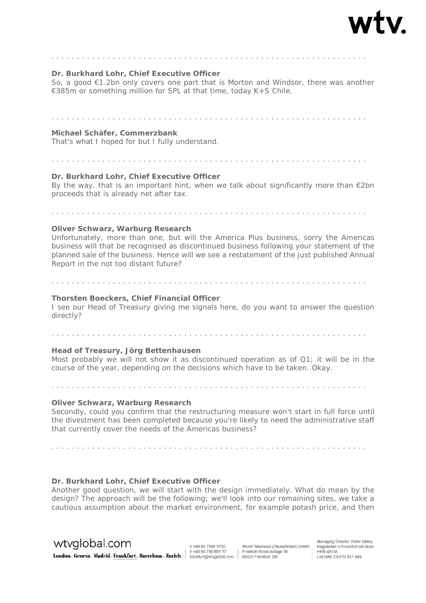

# . . . . . . . . . . . . . . . . . . . . . . . . . . . . . . . . . . . . . . . . . . . . . . . . . . . . . . . . . . . . . .

#### **Dr. Burkhard Lohr, Chief Executive Officer**

So, a good €1.2bn only covers one part that is Morton and Windsor, there was another €385m or something million for SPL at that time, today K+S Chile.

#### . . . . . . . . . . . . . . . . . . . . . . . . . . . . . . . . . . . . . . . . . . . . . . . . . . . . . . . . . . . . . .

#### **Michael Schäfer, Commerzbank**

That's what I hoped for but I fully understand.

# . . . . . . . . . . . . . . . . . . . . . . . . . . . . . . . . . . . . . . . . . . . . . . . . . . . . . . . . . . . . . .

#### **Dr. Burkhard Lohr, Chief Executive Officer**

By the way, that is an important hint, when we talk about significantly more than  $\epsilon$ 2bn proceeds that is already net after tax.

. . . . . . . . . . . . . . . . . . . . . . . . . . . . . . . . . . . . . . . . . . . . . . . . . . . . . . . . . . . . . .

#### **Oliver Schwarz, Warburg Research**

Unfortunately, more than one, but will the America Plus business, sorry the Americas business will that be recognised as discontinued business following your statement of the planned sale of the business. Hence will we see a restatement of the just published Annual Report in the not too distant future?

#### **Thorsten Boeckers, Chief Financial Officer**

I see our Head of Treasury giving me signals here, do you want to answer the question directly?

. . . . . . . . . . . . . . . . . . . . . . . . . . . . . . . . . . . . . . . . . . . . . . . . . . . . . . . . . . . . . .

. . . . . . . . . . . . . . . . . . . . . . . . . . . . . . . . . . . . . . . . . . . . . . . . . . . . . . . . . . . . . .

#### **Head of Treasury, Jörg Bettenhausen**

Most probably we will not show it as discontinued operation as of Q1; it will be in the course of the year, depending on the decisions which have to be taken. Okay.

. . . . . . . . . . . . . . . . . . . . . . . . . . . . . . . . . . . . . . . . . . . . . . . . . . . . . . . . . . . . . .

#### **Oliver Schwarz, Warburg Research**

Secondly, could you confirm that the restructuring measure won't start in full force until the divestment has been completed because you're likely to need the administrative staff that currently cover the needs of the Americas business?

. . . . . . . . . . . . . . . . . . . . . . . . . . . . . . . . . . . . . . . . . . . . . . . . . . . . . . . . . . . . . .

#### **Dr. Burkhard Lohr, Chief Executive Officer**

Another good question, we will start with the design immediately. What do mean by the design? The approach will be the following; we'll look into our remaining sites, we take a cautious assumption about the market environment, for example potash price, and then

# wtyglobal.com

t/+49.69.7508.5700 London. Geneva. Madrid. Frankfurt. Barcelona. Zurich. #198975085777 | Friedrich-Ebert-Anlas 1/ +49 69 750 857 77

World Television (Deutschland) GmbH Friedrich-Ebert-Anlage 36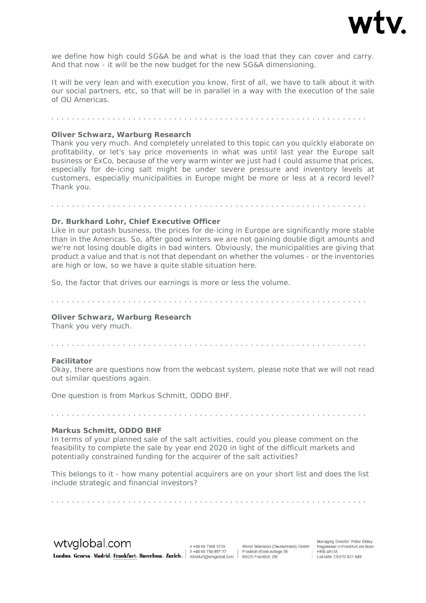

we define how high could SG&A be and what is the load that they can cover and carry. And that now - it will be the new budget for the new SG&A dimensioning.

It will be very lean and with execution you know, first of all, we have to talk about it with our social partners, etc, so that will be in parallel in a way with the execution of the sale of OU Americas.

#### . . . . . . . . . . . . . . . . . . . . . . . . . . . . . . . . . . . . . . . . . . . . . . . . . . . . . . . . . . . . . .

#### **Oliver Schwarz, Warburg Research**

Thank you very much. And completely unrelated to this topic can you quickly elaborate on profitability, or let's say price movements in what was until last year the Europe salt business or ExCo, because of the very warm winter we just had I could assume that prices, especially for de-icing salt might be under severe pressure and inventory levels at customers, especially municipalities in Europe might be more or less at a record level? Thank you.

. . . . . . . . . . . . . . . . . . . . . . . . . . . . . . . . . . . . . . . . . . . . . . . . . . . . . . . . . . . . . .

#### **Dr. Burkhard Lohr, Chief Executive Officer**

Like in our potash business, the prices for de-icing in Europe are significantly more stable than in the Americas. So, after good winters we are not gaining double digit amounts and we're not losing double digits in bad winters. Obviously, the municipalities are giving that product a value and that is not that dependant on whether the volumes - or the inventories are high or low, so we have a quite stable situation here.

So, the factor that drives our earnings is more or less the volume.

. . . . . . . . . . . . . . . . . . . . . . . . . . . . . . . . . . . . . . . . . . . . . . . . . . . . . . . . . . . . . .

#### **Oliver Schwarz, Warburg Research**

Thank you very much.

#### . . . . . . . . . . . . . . . . . . . . . . . . . . . . . . . . . . . . . . . . . . . . . . . . . . . . . . . . . . . . . .

#### **Facilitator**

Okay, there are questions now from the webcast system, please note that we will not read out similar questions again.

One question is from Markus Schmitt, ODDO BHF.

#### **Markus Schmitt, ODDO BHF**

In terms of your planned sale of the salt activities, could you please comment on the feasibility to complete the sale by year end 2020 in light of the difficult markets and potentially constrained funding for the acquirer of the salt activities?

. . . . . . . . . . . . . . . . . . . . . . . . . . . . . . . . . . . . . . . . . . . . . . . . . . . . . . . . . . . . . .

This belongs to it - how many potential acquirers are on your short list and does the list include strategic and financial investors?

wtyglobal.com

t/+49 69 7508 5700 London. Geneva. Madrid. Frankfurt. Barcelona. Zurich. #198975085777 | Friedrich-Ebert-Anlas 1/ +49 69 750 857 77

World Television (Deutschland) GmbH Friedrich-Ebert-Anlage 36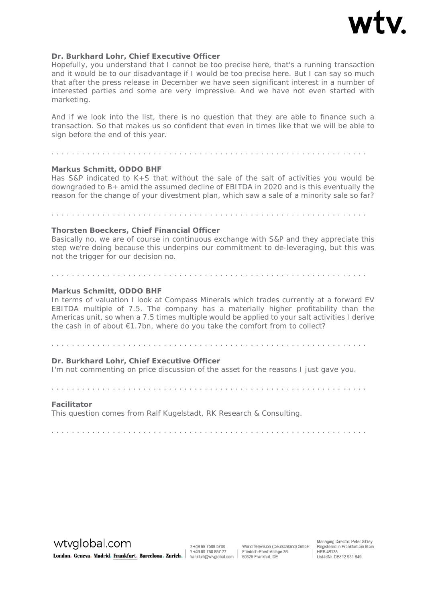

#### **Dr. Burkhard Lohr, Chief Executive Officer**

Hopefully, you understand that I cannot be too precise here, that's a running transaction and it would be to our disadvantage if I would be too precise here. But I can say so much that after the press release in December we have seen significant interest in a number of interested parties and some are very impressive. And we have not even started with marketing.

And if we look into the list, there is no question that they are able to finance such a transaction. So that makes us so confident that even in times like that we will be able to sign before the end of this year.

. . . . . . . . . . . . . . . . . . . . . . . . . . . . . . . . . . . . . . . . . . . . . . . . . . . . . . . . . . . . . .

#### **Markus Schmitt, ODDO BHF**

Has S&P indicated to K+S that without the sale of the salt of activities you would be downgraded to B+ amid the assumed decline of EBITDA in 2020 and is this eventually the reason for the change of your divestment plan, which saw a sale of a minority sale so far?

. . . . . . . . . . . . . . . . . . . . . . . . . . . . . . . . . . . . . . . . . . . . . . . . . . . . . . . . . . . . . .

# **Thorsten Boeckers, Chief Financial Officer**

Basically no, we are of course in continuous exchange with S&P and they appreciate this step we're doing because this underpins our commitment to de-leveraging, but this was not the trigger for our decision no.

. . . . . . . . . . . . . . . . . . . . . . . . . . . . . . . . . . . . . . . . . . . . . . . . . . . . . . . . . . . . . .

#### **Markus Schmitt, ODDO BHF**

In terms of valuation I look at Compass Minerals which trades currently at a forward EV EBITDA multiple of 7.5. The company has a materially higher profitability than the Americas unit, so when a 7.5 times multiple would be applied to your salt activities I derive the cash in of about €1.7bn, where do you take the comfort from to collect?

#### **Dr. Burkhard Lohr, Chief Executive Officer**

I'm not commenting on price discussion of the asset for the reasons I just gave you.

. . . . . . . . . . . . . . . . . . . . . . . . . . . . . . . . . . . . . . . . . . . . . . . . . . . . . . . . . . . . . .

#### **Facilitator**

This question comes from Ralf Kugelstadt, RK Research & Consulting.

. . . . . . . . . . . . . . . . . . . . . . . . . . . . . . . . . . . . . . . . . . . . . . . . . . . . . . . . . . . . . .

wtvglobal.com

t/+49 69 7508 5700 London. Geneva. Madrid. Frankfurt. Barcelona. Zurich. #49 69 750 857 77 Friedrich-Ebert-Anlas 1/ +49 69 750 857 77

World Television (Deutschland) GmbH Friedrich-Ebert-Anlage 36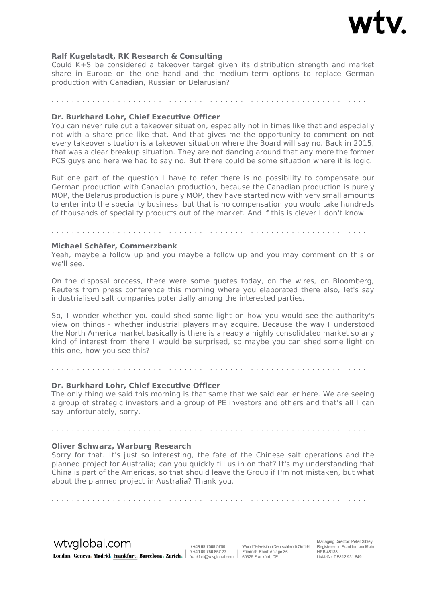

#### **Ralf Kugelstadt, RK Research & Consulting**

Could K+S be considered a takeover target given its distribution strength and market share in Europe on the one hand and the medium-term options to replace German production with Canadian, Russian or Belarusian?

. . . . . . . . . . . . . . . . . . . . . . . . . . . . . . . . . . . . . . . . . . . . . . . . . . . . . . . . . . . . . .

#### **Dr. Burkhard Lohr, Chief Executive Officer**

You can never rule out a takeover situation, especially not in times like that and especially not with a share price like that. And that gives me the opportunity to comment on not every takeover situation is a takeover situation where the Board will say no. Back in 2015, that was a clear breakup situation. They are not dancing around that any more the former PCS guys and here we had to say no. But there could be some situation where it is logic.

But one part of the question I have to refer there is no possibility to compensate our German production with Canadian production, because the Canadian production is purely MOP, the Belarus production is purely MOP, they have started now with very small amounts to enter into the speciality business, but that is no compensation you would take hundreds of thousands of speciality products out of the market. And if this is clever I don't know.

# **Michael Schäfer, Commerzbank**

Yeah, maybe a follow up and you maybe a follow up and you may comment on this or we'll see.

On the disposal process, there were some quotes today, on the wires, on Bloomberg, Reuters from press conference this morning where you elaborated there also, let's say industrialised salt companies potentially among the interested parties.

So, I wonder whether you could shed some light on how you would see the authority's view on things - whether industrial players may acquire. Because the way I understood the North America market basically is there is already a highly consolidated market so any kind of interest from there I would be surprised, so maybe you can shed some light on this one, how you see this?

#### **Dr. Burkhard Lohr, Chief Executive Officer**

The only thing we said this morning is that same that we said earlier here. We are seeing a group of strategic investors and a group of PE investors and others and that's all I can say unfortunately, sorry.

. . . . . . . . . . . . . . . . . . . . . . . . . . . . . . . . . . . . . . . . . . . . . . . . . . . . . . . . . . . . . .

. . . . . . . . . . . . . . . . . . . . . . . . . . . . . . . . . . . . . . . . . . . . . . . . . . . . . . . . . . . . . .

#### **Oliver Schwarz, Warburg Research**

Sorry for that. It's just so interesting, the fate of the Chinese salt operations and the planned project for Australia; can you quickly fill us in on that? It's my understanding that China is part of the Americas, so that should leave the Group if I'm not mistaken, but what about the planned project in Australia? Thank you.

. . . . . . . . . . . . . . . . . . . . . . . . . . . . . . . . . . . . . . . . . . . . . . . . . . . . . . . . . . . . . .

wtyglobal.com

t/+49 69 7508 5700 1/ +49 69 750 857 77 London. Geneva. Madrid. Frankfurt. Barcelona. Zurich. | #496975085777 | Friedrich-Ebert-Anla

World Television (Deutschland) GmbH Friedrich-Ebert-Anlage 36

. . . . . . . . . . . . . . . . . . . . . . . . . . . . . . . . . . . . . . . . . . . . . . . . . . . . . . . . . . . . . .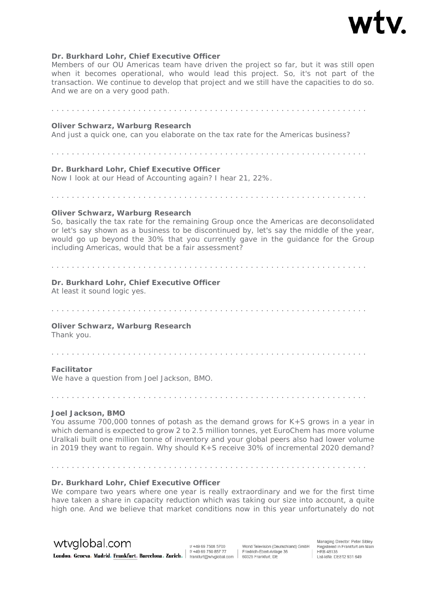

#### **Dr. Burkhard Lohr, Chief Executive Officer**

Members of our OU Americas team have driven the project so far, but it was still open when it becomes operational, who would lead this project. So, it's not part of the transaction. We continue to develop that project and we still have the capacities to do so. And we are on a very good path.

# **Oliver Schwarz, Warburg Research**  And just a quick one, can you elaborate on the tax rate for the Americas business? . . . . . . . . . . . . . . . . . . . . . . . . . . . . . . . . . . . . . . . . . . . . . . . . . . . . . . . . . . . . . . **Dr. Burkhard Lohr, Chief Executive Officer**  Now I look at our Head of Accounting again? I hear 21, 22%. . . . . . . . . . . . . . . . . . . . . . . . . . . . . . . . . . . . . . . . . . . . . . . . . . . . . . . . . . . . . . . **Oliver Schwarz, Warburg Research**  So, basically the tax rate for the remaining Group once the Americas are deconsolidated or let's say shown as a business to be discontinued by, let's say the middle of the year, would go up beyond the 30% that you currently gave in the guidance for the Group including Americas, would that be a fair assessment? . . . . . . . . . . . . . . . . . . . . . . . . . . . . . . . . . . . . . . . . . . . . . . . . . . . . . . . . . . . . . . **Dr. Burkhard Lohr, Chief Executive Officer**  At least it sound logic yes. . . . . . . . . . . . . . . . . . . . . . . . . . . . . . . . . . . . . . . . . . . . . . . . . . . . . . . . . . . . . . . **Oliver Schwarz, Warburg Research**  Thank you. . . . . . . . . . . . . . . . . . . . . . . . . . . . . . . . . . . . . . . . . . . . . . . . . . . . . . . . . . . . . . .

#### **Facilitator**

We have a question from Joel Jackson, BMO.

. . . . . . . . . . . . . . . . . . . . . . . . . . . . . . . . . . . . . . . . . . . . . . . . . . . . . . . . . . . . . .

#### **Joel Jackson, BMO**

You assume 700,000 tonnes of potash as the demand grows for K+S grows in a year in which demand is expected to grow 2 to 2.5 million tonnes, yet EuroChem has more volume Uralkali built one million tonne of inventory and your global peers also had lower volume in 2019 they want to regain. Why should K+S receive 30% of incremental 2020 demand?

#### **Dr. Burkhard Lohr, Chief Executive Officer**

. . . . . . . . . . . . . . . . . . . . . . . . . . . . . . . . . . . . . . . . . . . . . . . . . . . . . . . . . . . . . .

We compare two years where one year is really extraordinary and we for the first time have taken a share in capacity reduction which was taking our size into account, a quite high one. And we believe that market conditions now in this year unfortunately do not

# wtyglobal.com

t/ +49 69 7508 5700 London. Geneva. Madrid. Frankfurt. Barcelona. Zurich. #198975085777 | Friedrich-Ebert-Anlas 1/ +49 69 750 857 77

World Television (Deutschland) GmbH Friedrich-Ebert-Anlage 36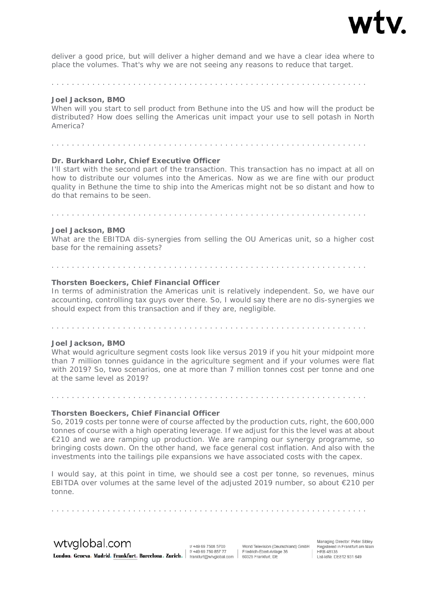

deliver a good price, but will deliver a higher demand and we have a clear idea where to place the volumes. That's why we are not seeing any reasons to reduce that target.

. . . . . . . . . . . . . . . . . . . . . . . . . . . . . . . . . . . . . . . . . . . . . . . . . . . . . . . . . . . . . .

#### **Joel Jackson, BMO**

When will you start to sell product from Bethune into the US and how will the product be distributed? How does selling the Americas unit impact your use to sell potash in North America?

. . . . . . . . . . . . . . . . . . . . . . . . . . . . . . . . . . . . . . . . . . . . . . . . . . . . . . . . . . . . . .

# **Dr. Burkhard Lohr, Chief Executive Officer**

I'll start with the second part of the transaction. This transaction has no impact at all on how to distribute our volumes into the Americas. Now as we are fine with our product quality in Bethune the time to ship into the Americas might not be so distant and how to do that remains to be seen.

#### **Joel Jackson, BMO**

What are the EBITDA dis-synergies from selling the OU Americas unit, so a higher cost base for the remaining assets?

. . . . . . . . . . . . . . . . . . . . . . . . . . . . . . . . . . . . . . . . . . . . . . . . . . . . . . . . . . . . . .

#### **Thorsten Boeckers, Chief Financial Officer**

. . . . . . . . . . . . . . . . . . . . . . . . . . . . . . . . . . . . . . . . . . . . . . . . . . . . . . . . . . . . . .

In terms of administration the Americas unit is relatively independent. So, we have our accounting, controlling tax guys over there. So, I would say there are no dis-synergies we should expect from this transaction and if they are, negligible.

. . . . . . . . . . . . . . . . . . . . . . . . . . . . . . . . . . . . . . . . . . . . . . . . . . . . . . . . . . . . . .

#### **Joel Jackson, BMO**

What would agriculture segment costs look like versus 2019 if you hit your midpoint more than 7 million tonnes guidance in the agriculture segment and if your volumes were flat with 2019? So, two scenarios, one at more than 7 million tonnes cost per tonne and one at the same level as 2019?

#### **Thorsten Boeckers, Chief Financial Officer**

So, 2019 costs per tonne were of course affected by the production cuts, right, the 600,000 tonnes of course with a high operating leverage. If we adjust for this the level was at about €210 and we are ramping up production. We are ramping our synergy programme, so bringing costs down. On the other hand, we face general cost inflation. And also with the investments into the tailings pile expansions we have associated costs with the capex.

I would say, at this point in time, we should see a cost per tonne, so revenues, minus EBITDA over volumes at the same level of the adjusted 2019 number, so about  $\epsilon$ 210 per tonne.

wtyglobal.com

t/+49 69 7508 5700 1/ +49 69 750 857 77 London. Geneva. Madrid. Frankfurt. Barcelona. Zurich. | #496975085777 | Friedrich-Ebert-Anlas

. . . . . . . . . . . . . . . . . . . . . . . . . . . . . . . . . . . . . . . . . . . . . . . . . . . . . . . . . . . . . .

World Television (Deutschland) GmbH Friedrich-Ebert-Anlage 36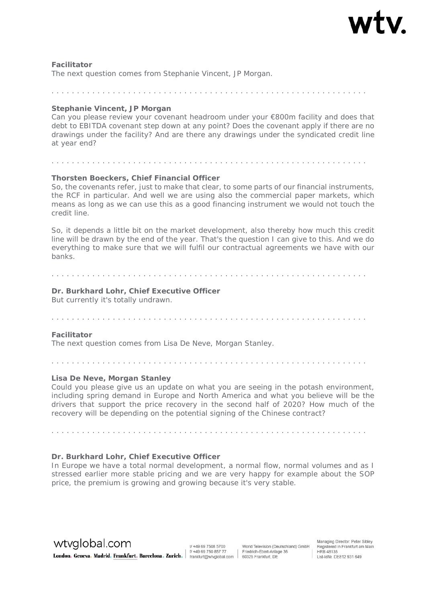

#### **Facilitator**

The next question comes from Stephanie Vincent, JP Morgan.

#### **Stephanie Vincent, JP Morgan**

Can you please review your covenant headroom under your €800m facility and does that debt to EBITDA covenant step down at any point? Does the covenant apply if there are no drawings under the facility? And are there any drawings under the syndicated credit line at year end?

. . . . . . . . . . . . . . . . . . . . . . . . . . . . . . . . . . . . . . . . . . . . . . . . . . . . . . . . . . . . . .

#### **Thorsten Boeckers, Chief Financial Officer**

. . . . . . . . . . . . . . . . . . . . . . . . . . . . . . . . . . . . . . . . . . . . . . . . . . . . . . . . . . . . . .

So, the covenants refer, just to make that clear, to some parts of our financial instruments, the RCF in particular. And well we are using also the commercial paper markets, which means as long as we can use this as a good financing instrument we would not touch the credit line.

So, it depends a little bit on the market development, also thereby how much this credit line will be drawn by the end of the year. That's the question I can give to this. And we do everything to make sure that we will fulfil our contractual agreements we have with our banks.

#### . . . . . . . . . . . . . . . . . . . . . . . . . . . . . . . . . . . . . . . . . . . . . . . . . . . . . . . . . . . . . .

# **Dr. Burkhard Lohr, Chief Executive Officer**

But currently it's totally undrawn.

# . . . . . . . . . . . . . . . . . . . . . . . . . . . . . . . . . . . . . . . . . . . . . . . . . . . . . . . . . . . . . .

#### **Facilitator**

The next question comes from Lisa De Neve, Morgan Stanley.

. . . . . . . . . . . . . . . . . . . . . . . . . . . . . . . . . . . . . . . . . . . . . . . . . . . . . . . . . . . . . .

#### **Lisa De Neve, Morgan Stanley**

Could you please give us an update on what you are seeing in the potash environment, including spring demand in Europe and North America and what you believe will be the drivers that support the price recovery in the second half of 2020? How much of the recovery will be depending on the potential signing of the Chinese contract?

. . . . . . . . . . . . . . . . . . . . . . . . . . . . . . . . . . . . . . . . . . . . . . . . . . . . . . . . . . . . . .

#### **Dr. Burkhard Lohr, Chief Executive Officer**

In Europe we have a total normal development, a normal flow, normal volumes and as I stressed earlier more stable pricing and we are very happy for example about the SOP price, the premium is growing and growing because it's very stable.

wtvglobal.com

t/+49 69 7508 5700 Example of the Community of the Community of the State of the State of the State of the State of the Community of the State of the Community of the State of the State of the State of the State of the State of the State of

World Television (Deutschland) GmbH Friedrich-Ebert-Anlage 36

Managing Director: Peter Sibley Registered in Frankfurt am Main<br>HRB 48135 nd) GmbH Registered in Frankfurt an<br>| HRB 48135<br>| Ust-IdNr. DE812 931 649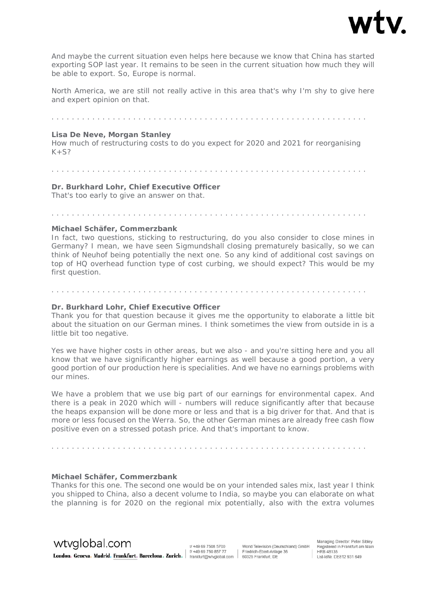

And maybe the current situation even helps here because we know that China has started exporting SOP last year. It remains to be seen in the current situation how much they will be able to export. So, Europe is normal.

North America, we are still not really active in this area that's why I'm shy to give here and expert opinion on that.

. . . . . . . . . . . . . . . . . . . . . . . . . . . . . . . . . . . . . . . . . . . . . . . . . . . . . . . . . . . . . .

#### **Lisa De Neve, Morgan Stanley**

How much of restructuring costs to do you expect for 2020 and 2021 for reorganising  $K+S?$ 

#### . . . . . . . . . . . . . . . . . . . . . . . . . . . . . . . . . . . . . . . . . . . . . . . . . . . . . . . . . . . . . .

**Dr. Burkhard Lohr, Chief Executive Officer**  That's too early to give an answer on that.

. . . . . . . . . . . . . . . . . . . . . . . . . . . . . . . . . . . . . . . . . . . . . . . . . . . . . . . . . . . . . .

#### **Michael Schäfer, Commerzbank**

In fact, two questions, sticking to restructuring, do you also consider to close mines in Germany? I mean, we have seen Sigmundshall closing prematurely basically, so we can think of Neuhof being potentially the next one. So any kind of additional cost savings on top of HQ overhead function type of cost curbing, we should expect? This would be my first question.

# . . . . . . . . . . . . . . . . . . . . . . . . . . . . . . . . . . . . . . . . . . . . . . . . . . . . . . . . . . . . . .

#### **Dr. Burkhard Lohr, Chief Executive Officer**

Thank you for that question because it gives me the opportunity to elaborate a little bit about the situation on our German mines. I think sometimes the view from outside in is a little bit too negative.

Yes we have higher costs in other areas, but we also - and you're sitting here and you all know that we have significantly higher earnings as well because a good portion, a very good portion of our production here is specialities. And we have no earnings problems with our mines.

We have a problem that we use big part of our earnings for environmental capex. And there is a peak in 2020 which will - numbers will reduce significantly after that because the heaps expansion will be done more or less and that is a big driver for that. And that is more or less focused on the Werra. So, the other German mines are already free cash flow positive even on a stressed potash price. And that's important to know.

. . . . . . . . . . . . . . . . . . . . . . . . . . . . . . . . . . . . . . . . . . . . . . . . . . . . . . . . . . . . . .

#### **Michael Schäfer, Commerzbank**

Thanks for this one. The second one would be on your intended sales mix, last year I think you shipped to China, also a decent volume to India, so maybe you can elaborate on what the planning is for 2020 on the regional mix potentially, also with the extra volumes

wtvglobal.com

t/+49 69 7508 5700 Example of the Community of the Community of the State of the State of the State of the State of the Community of the State of the Community of the State of the State of the State of the State of the State of the State of

World Television (Deutschland) GmbH Friedrich-Ebert-Anlage 36

Managing Director: Peter Sibley Registered in Frankfurt am Main<br>HRB 48135 ig) GmbH Registered in Frankfurt and<br>HRB 48135<br>Ust-IdNr. DE812 931 649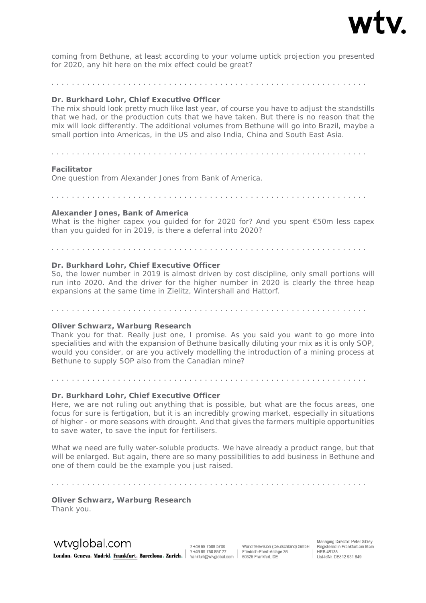

coming from Bethune, at least according to your volume uptick projection you presented for 2020, any hit here on the mix effect could be great?

. . . . . . . . . . . . . . . . . . . . . . . . . . . . . . . . . . . . . . . . . . . . . . . . . . . . . . . . . . . . . .

#### **Dr. Burkhard Lohr, Chief Executive Officer**

The mix should look pretty much like last year, of course you have to adjust the standstills that we had, or the production cuts that we have taken. But there is no reason that the mix will look differently. The additional volumes from Bethune will go into Brazil, maybe a small portion into Americas, in the US and also India, China and South East Asia.

. . . . . . . . . . . . . . . . . . . . . . . . . . . . . . . . . . . . . . . . . . . . . . . . . . . . . . . . . . . . . .

#### **Facilitator**

One question from Alexander Jones from Bank of America.

. . . . . . . . . . . . . . . . . . . . . . . . . . . . . . . . . . . . . . . . . . . . . . . . . . . . . . . . . . . . . .

#### **Alexander Jones, Bank of America**

What is the higher capex you guided for for 2020 for? And you spent  $\epsilon$ 50m less capex than you guided for in 2019, is there a deferral into 2020?

. . . . . . . . . . . . . . . . . . . . . . . . . . . . . . . . . . . . . . . . . . . . . . . . . . . . . . . . . . . . . .

#### **Dr. Burkhard Lohr, Chief Executive Officer**

So, the lower number in 2019 is almost driven by cost discipline, only small portions will run into 2020. And the driver for the higher number in 2020 is clearly the three heap expansions at the same time in Zielitz, Wintershall and Hattorf.

. . . . . . . . . . . . . . . . . . . . . . . . . . . . . . . . . . . . . . . . . . . . . . . . . . . . . . . . . . . . . .

#### **Oliver Schwarz, Warburg Research**

Thank you for that. Really just one, I promise. As you said you want to go more into specialities and with the expansion of Bethune basically diluting your mix as it is only SOP, would you consider, or are you actively modelling the introduction of a mining process at Bethune to supply SOP also from the Canadian mine?

. . . . . . . . . . . . . . . . . . . . . . . . . . . . . . . . . . . . . . . . . . . . . . . . . . . . . . . . . . . . . .

# **Dr. Burkhard Lohr, Chief Executive Officer**

Here, we are not ruling out anything that is possible, but what are the focus areas, one focus for sure is fertigation, but it is an incredibly growing market, especially in situations of higher - or more seasons with drought. And that gives the farmers multiple opportunities to save water, to save the input for fertilisers.

What we need are fully water-soluble products. We have already a product range, but that will be enlarged. But again, there are so many possibilities to add business in Bethune and one of them could be the example you just raised.

. . . . . . . . . . . . . . . . . . . . . . . . . . . . . . . . . . . . . . . . . . . . . . . . . . . . . . . . . . . . . .

**Oliver Schwarz, Warburg Research**  Thank you.

wtyglobal.com

t/+49 69 7508 5700 Example of the Community of the Community of the State of the State of the State of the State of the Community of the State of the Community of the State of the State of the State of the State of the State of the State of

World Television (Deutschland) GmbH Friedrich-Ebert-Anlage 36